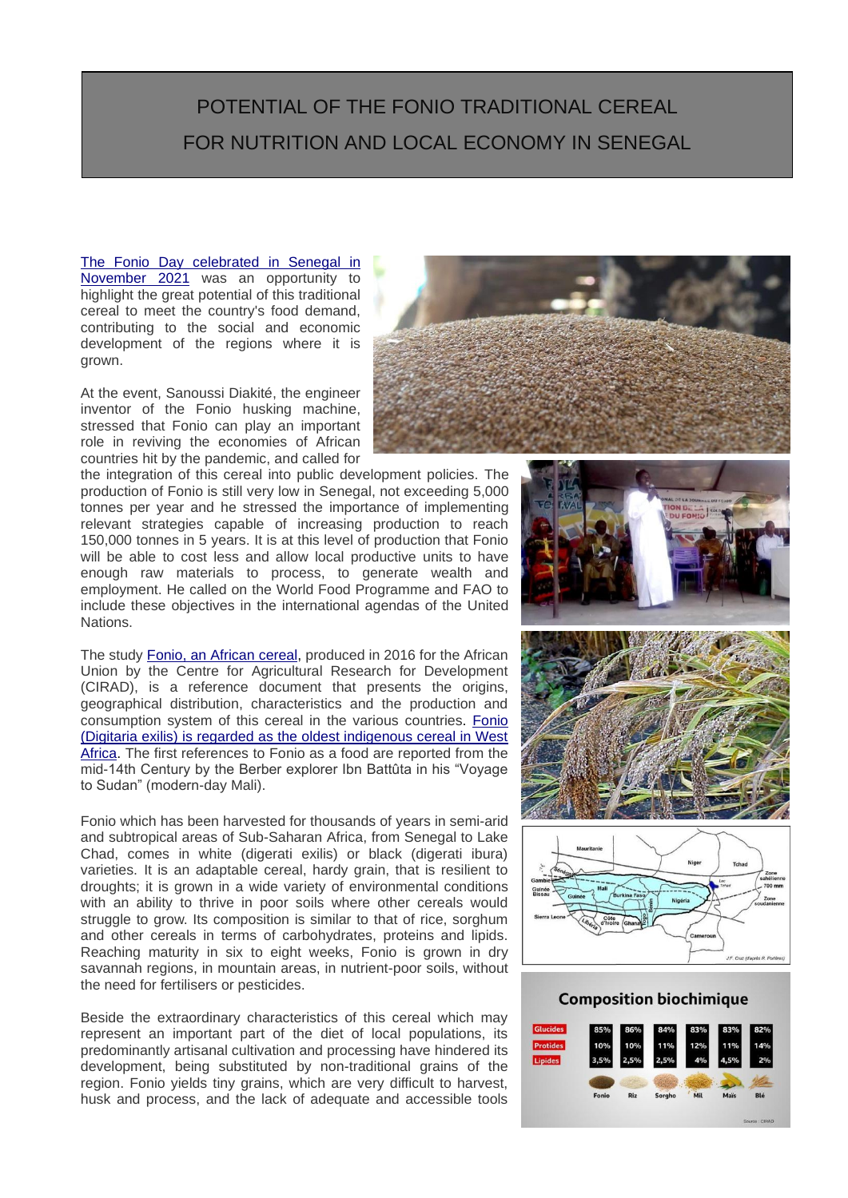## POTENTIAL OF THE FONIO TRADITIONAL CEREAL FOR NUTRITION AND LOCAL ECONOMY IN SENEGAL

[The Fonio Day celebrated](https://www.vivafrik.com/2021/11/23/relance-post-covid-le-fonio-peut-jouer-un-tres-grand-role-pour-relancer-leconomie-des-pays-africains-sanoussi-diakite-a43392.html) in Senegal in [November 2021](https://www.vivafrik.com/2021/11/23/relance-post-covid-le-fonio-peut-jouer-un-tres-grand-role-pour-relancer-leconomie-des-pays-africains-sanoussi-diakite-a43392.html) was an opportunity to highlight the great potential of this traditional cereal to meet the country's food demand, development of the regions where it is grown.

At the event, Sanoussi Diakité, the engineer inventor of the Fonio husking machine, stressed that Fonio can play an important role in reviving the economies of African countries hit by the pandemic, and called for

the integration of this cereal into public development policies. The production of Fonio is still very low in Senegal, not exceeding 5,000 tonnes per year and he stressed the importance of implementing relevant strategies capable of increasing production to reach 150,000 tonnes in 5 years. It is at this level of production that Fonio will be able to cost less and allow local productive units to have enough raw materials to process, to generate wealth and employment. He called on the World Food Programme and FAO to include these objectives in the international agendas of the United Nations.

The study [Fonio, an African cereal,](https://www.feedipedia.org/sites/default/files/public/cruz_2016.pdf) produced in 2016 for the African Union by the Centre for Agricultural Research for Development (CIRAD), is a reference document that presents the origins, geographical distribution, characteristics and the production and consumption system of this cereal in the various countries. [Fonio](https://fonio.cirad.fr/la-planta/origen)  [\(Digitaria exilis\) is regarded as the oldest indigenous cereal in West](https://fonio.cirad.fr/la-planta/origen)  [Africa.](https://fonio.cirad.fr/la-planta/origen) The first references to Fonio as a food are reported from the mid-14th Century by the Berber explorer Ibn Battûta in his "Voyage to Sudan" (modern-day Mali).

Fonio which has been harvested for thousands of years in semi-arid and subtropical areas of Sub-Saharan Africa, from Senegal to Lake Chad, comes in white (digerati exilis) or black (digerati ibura) varieties. It is an adaptable cereal, hardy grain, that is resilient to droughts; it is grown in a wide variety of environmental conditions with an ability to thrive in poor soils where other cereals would struggle to grow. Its composition is similar to that of rice, sorghum and other cereals in terms of carbohydrates, proteins and lipids. Reaching maturity in six to eight weeks, Fonio is grown in dry savannah regions, in mountain areas, in nutrient-poor soils, without the need for fertilisers or pesticides.

Beside the extraordinary characteristics of this cereal which may represent an important part of the diet of local populations, its predominantly artisanal cultivation and processing have hindered its development, being substituted by non-traditional grains of the region. Fonio yields tiny grains, which are very difficult to harvest, husk and process, and the lack of adequate and accessible tools







## **Composition biochimique**

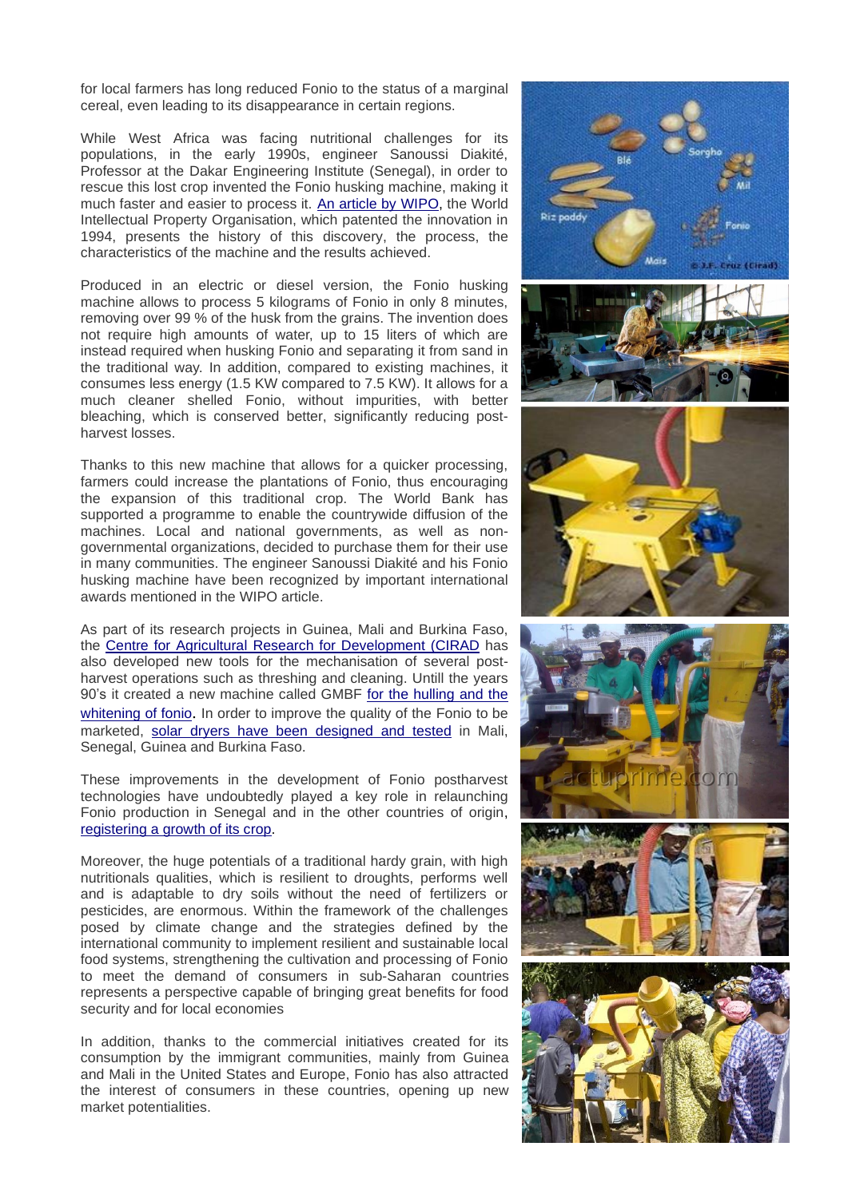for local farmers has long reduced Fonio to the status of a marginal cereal, even leading to its disappearance in certain regions.

While West Africa was facing nutritional challenges for its populations, in the early 1990s, engineer Sanoussi Diakité, Professor at the Dakar Engineering Institute (Senegal), in order to rescue this lost crop invented the Fonio husking machine, making it much faster and easier to process it. [An article by](https://www.wipo.int/ipadvantage/en/details.jsp?id=5556) WIPO, the World Intellectual Property Organisation, which patented the innovation in 1994, presents the history of this discovery, the process, the characteristics of the machine and the results achieved.

Produced in an electric or diesel version, the Fonio husking machine allows to process 5 kilograms of Fonio in only 8 minutes, removing over 99 % of the husk from the grains. The invention does not require high amounts of water, up to 15 liters of which are instead required when husking Fonio and separating it from sand in the traditional way. In addition, compared to existing machines, it consumes less energy (1.5 KW compared to 7.5 KW). It allows for a much cleaner shelled Fonio, without impurities, with better bleaching, which is conserved better, significantly reducing postharvest losses.

Thanks to this new machine that allows for a quicker processing, farmers could increase the plantations of Fonio, thus encouraging the expansion of this traditional crop. The World Bank has supported a programme to enable the countrywide diffusion of the machines. Local and national governments, as well as nongovernmental organizations, decided to purchase them for their use in many communities. The engineer Sanoussi Diakité and his Fonio husking machine have been recognized by important international awards mentioned in the WIPO article.

As part of its research projects in Guinea, Mali and Burkina Faso, the [Centre for Agricultural Research for Development \(CIRAD](https://fonio.cirad.fr/en/transformation/mecanisation-post-recolte) has also developed new tools for the mechanisation of several postharvest operations such as threshing and cleaning. Untill the years 90's it created a new machine called GMBF [for the hulling and the](https://fonio.cirad.fr/en/content/download/4380/33552/version/1/file/obj_2418_fichier_Fonio-huller.pdf)  [whitening of fonio](https://fonio.cirad.fr/en/content/download/4380/33552/version/1/file/obj_2418_fichier_Fonio-huller.pdf). In order to improve the quality of the Fonio to be marketed, [solar dryers have been designed and tested](https://fonio.cirad.fr/en/transformation/sechage) in Mali, Senegal, Guinea and Burkina Faso.

These improvements in the development of Fonio postharvest technologies have undoubtedly played a key role in relaunching Fonio production in Senegal and in the other countries of origin, [registering a growth of its crop.](https://fonio.cirad.fr/la-planta/produccion)

Moreover, the huge potentials of a traditional hardy grain, with high nutritionals qualities, which is resilient to droughts, performs well and is adaptable to dry soils without the need of fertilizers or pesticides, are enormous. Within the framework of the challenges posed by climate change and the strategies defined by the international community to implement resilient and sustainable local food systems, strengthening the cultivation and processing of Fonio to meet the demand of consumers in sub-Saharan countries represents a perspective capable of bringing great benefits for food security and for local economies

In addition, thanks to the commercial initiatives created for its consumption by the immigrant communities, mainly from Guinea and Mali in the United States and Europe, Fonio has also attracted the interest of consumers in these countries, opening up new market potentialities.